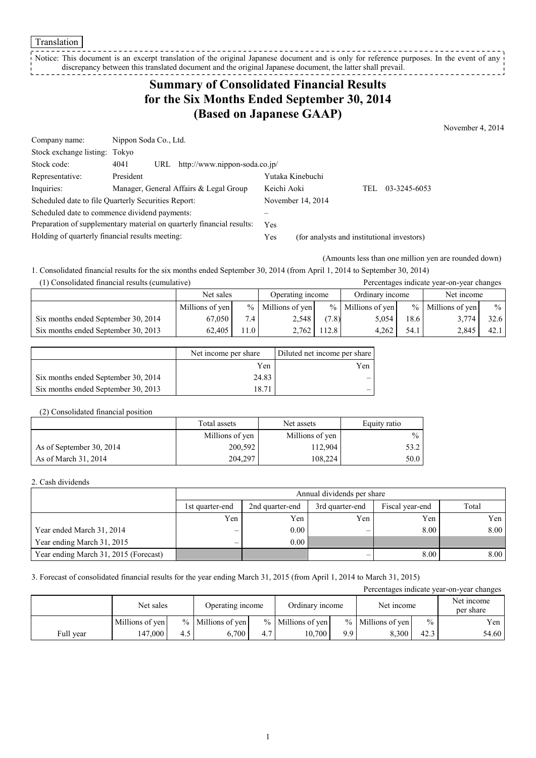Translation

Notice: This document is an excerpt translation of the original Japanese document and is only for reference purposes. In the event of any discrepancy between this translated document and the original Japanese document, the latter shall prevail. \_ \_ \_ \_ \_ \_ \_ \_ \_ \_ \_

## **Summary of Consolidated Financial Results for the Six Months Ended September 30, 2014 (Based on Japanese GAAP)**

November 4, 2014

| Company name:                                   | Nippon Soda Co., Ltd.                                                 |                   |                                            |
|-------------------------------------------------|-----------------------------------------------------------------------|-------------------|--------------------------------------------|
| Stock exchange listing: Tokyo                   |                                                                       |                   |                                            |
| Stock code:                                     | URL http://www.nippon-soda.co.jp/<br>4041                             |                   |                                            |
| Representative:                                 | President                                                             | Yutaka Kinebuchi  |                                            |
| Inquiries:                                      | Manager, General Affairs & Legal Group                                | Keichi Aoki       | 03-3245-6053<br>TEL.                       |
|                                                 | Scheduled date to file Quarterly Securities Report:                   | November 14, 2014 |                                            |
|                                                 | Scheduled date to commence dividend payments:                         |                   |                                            |
|                                                 | Preparation of supplementary material on quarterly financial results: | <b>Yes</b>        |                                            |
| Holding of quarterly financial results meeting: |                                                                       | Yes               | (for analysts and institutional investors) |

(Amounts less than one million yen are rounded down)

1. Consolidated financial results for the six months ended September 30, 2014 (from April 1, 2014 to September 30, 2014) (1) Consolidated financial results (cumulative) Percentages indicate year-on-year changes

|                                     | Net sales       |          | Operating income     |       | Ordinary income     |      | Net income      |               |
|-------------------------------------|-----------------|----------|----------------------|-------|---------------------|------|-----------------|---------------|
|                                     | Millions of yen |          | $\%$ Millions of yen |       | $%$ Millions of yen | $\%$ | Millions of yen | $\frac{0}{0}$ |
| Six months ended September 30, 2014 | 67.050          | 7.4      | 2.548                | (7.8) | 5,054               | 18.6 | 3,774           | 32.6          |
| Six months ended September 30, 2013 | 62.405          | $.1.0 +$ | 2.762                | 112.8 | 4.262               | 54.1 | 2.845           | 42.1          |

|                                     | Net income per share | Diluted net income per share |
|-------------------------------------|----------------------|------------------------------|
|                                     | Yen                  | Yen                          |
| Six months ended September 30, 2014 | 24.83                |                              |
| Six months ended September 30, 2013 | 8.71                 |                              |

#### (2) Consolidated financial position

|                          | Total assets    | Net assets      | Equity ratio  |
|--------------------------|-----------------|-----------------|---------------|
|                          | Millions of yen | Millions of yen | $\frac{0}{0}$ |
| As of September 30, 2014 | 200,592         | 112.904         | 53.2          |
| As of March 31, 2014     | 204.297         | 108.224         | 50.0          |

### 2. Cash dividends

|                                       | Annual dividends per share |       |     |      |      |  |  |  |
|---------------------------------------|----------------------------|-------|-----|------|------|--|--|--|
|                                       | 1st quarter-end            | Total |     |      |      |  |  |  |
|                                       | Yen                        | Yen   | Yen | Yen  | Yen  |  |  |  |
| Year ended March 31, 2014             |                            | 0.00  |     | 8.00 | 8.00 |  |  |  |
| Year ending March 31, 2015            |                            | 0.00  |     |      |      |  |  |  |
| Year ending March 31, 2015 (Forecast) |                            |       |     | 8.00 | 8.00 |  |  |  |

### 3. Forecast of consolidated financial results for the year ending March 31, 2015 (from April 1, 2014 to March 31, 2015)

| Percentages indicate year-on-year changes |                 |     |                     |                  |                     |                 |                     |            |                         |
|-------------------------------------------|-----------------|-----|---------------------|------------------|---------------------|-----------------|---------------------|------------|-------------------------|
|                                           | Net sales       |     |                     | Operating income |                     | Ordinary income |                     | Net income | Net income<br>per share |
|                                           | Millions of yen |     | $%$ Millions of yen |                  | $%$ Millions of yen |                 | $%$ Millions of yen | $\%$       | Yen                     |
| Full year                                 | 147.000         | 4.5 | 6.700               | 4.7              | 10.700              | 9.9             | 8.300               | 42.3       | 54.60                   |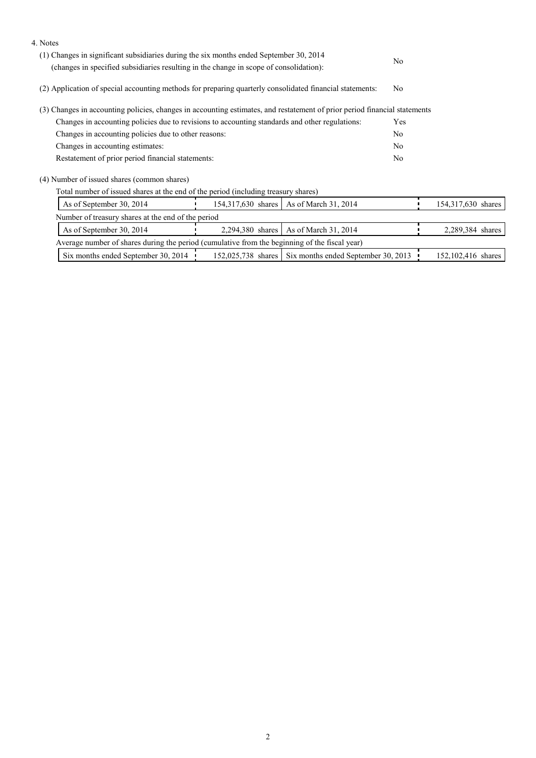| 4. Notes                                                                                                                                                                         |  |                                                        |                |                    |
|----------------------------------------------------------------------------------------------------------------------------------------------------------------------------------|--|--------------------------------------------------------|----------------|--------------------|
| (1) Changes in significant subsidiaries during the six months ended September 30, 2014<br>(changes in specified subsidiaries resulting in the change in scope of consolidation): |  |                                                        |                |                    |
|                                                                                                                                                                                  |  |                                                        |                |                    |
| (2) Application of special accounting methods for preparing quarterly consolidated financial statements:                                                                         |  |                                                        |                |                    |
| (3) Changes in accounting policies, changes in accounting estimates, and restatement of prior period financial statements                                                        |  |                                                        |                |                    |
| Changes in accounting policies due to revisions to accounting standards and other regulations:                                                                                   |  |                                                        | Yes            |                    |
| Changes in accounting policies due to other reasons:                                                                                                                             |  |                                                        | N <sub>0</sub> |                    |
| Changes in accounting estimates:                                                                                                                                                 |  |                                                        | N <sub>0</sub> |                    |
| Restatement of prior period financial statements:                                                                                                                                |  |                                                        | N <sub>0</sub> |                    |
| (4) Number of issued shares (common shares)                                                                                                                                      |  |                                                        |                |                    |
| Total number of issued shares at the end of the period (including treasury shares)                                                                                               |  |                                                        |                |                    |
| As of September 30, 2014                                                                                                                                                         |  | 154,317,630 shares   As of March 31, 2014              |                | 154,317,630 shares |
| Number of treasury shares at the end of the period                                                                                                                               |  |                                                        |                |                    |
| As of September 30, 2014                                                                                                                                                         |  | 2,294,380 shares   As of March 31, 2014                |                | 2,289,384 shares   |
| Average number of shares during the period (cumulative from the beginning of the fiscal year)                                                                                    |  |                                                        |                |                    |
| Six months ended September 30, 2014                                                                                                                                              |  | 152,025,738 shares Six months ended September 30, 2013 |                | 152,102,416 shares |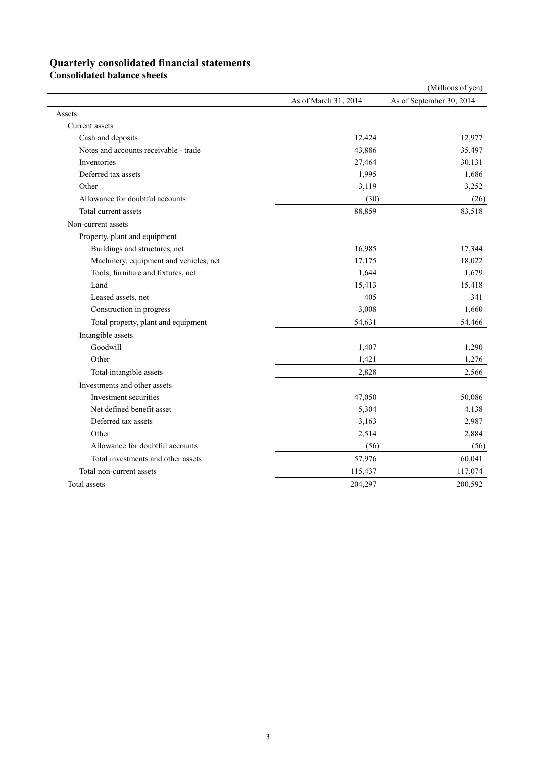# **Quarterly consolidated financial statements**

**Consolidated balance sheets** 

|                                        |                      | (Millions of yen)        |
|----------------------------------------|----------------------|--------------------------|
|                                        | As of March 31, 2014 | As of September 30, 2014 |
| Assets                                 |                      |                          |
| Current assets                         |                      |                          |
| Cash and deposits                      | 12,424               | 12,977                   |
| Notes and accounts receivable - trade  | 43,886               | 35,497                   |
| Inventories                            | 27,464               | 30,131                   |
| Deferred tax assets                    | 1,995                | 1,686                    |
| Other                                  | 3,119                | 3,252                    |
| Allowance for doubtful accounts        | (30)                 | (26)                     |
| Total current assets                   | 88,859               | 83,518                   |
| Non-current assets                     |                      |                          |
| Property, plant and equipment          |                      |                          |
| Buildings and structures, net          | 16,985               | 17,344                   |
| Machinery, equipment and vehicles, net | 17,175               | 18,022                   |
| Tools, furniture and fixtures, net     | 1,644                | 1,679                    |
| Land                                   | 15,413               | 15,418                   |
| Leased assets, net                     | 405                  | 341                      |
| Construction in progress               | 3,008                | 1,660                    |
| Total property, plant and equipment    | 54,631               | 54,466                   |
| Intangible assets                      |                      |                          |
| Goodwill                               | 1,407                | 1,290                    |
| Other                                  | 1,421                | 1,276                    |
| Total intangible assets                | 2,828                | 2,566                    |
| Investments and other assets           |                      |                          |
| Investment securities                  | 47,050               | 50,086                   |
| Net defined benefit asset              | 5,304                | 4,138                    |
| Deferred tax assets                    | 3,163                | 2,987                    |
| Other                                  | 2,514                | 2,884                    |
| Allowance for doubtful accounts        | (56)                 | (56)                     |
| Total investments and other assets     | 57,976               | 60,041                   |
| Total non-current assets               | 115,437              | 117,074                  |
| Total assets                           | 204,297              | 200,592                  |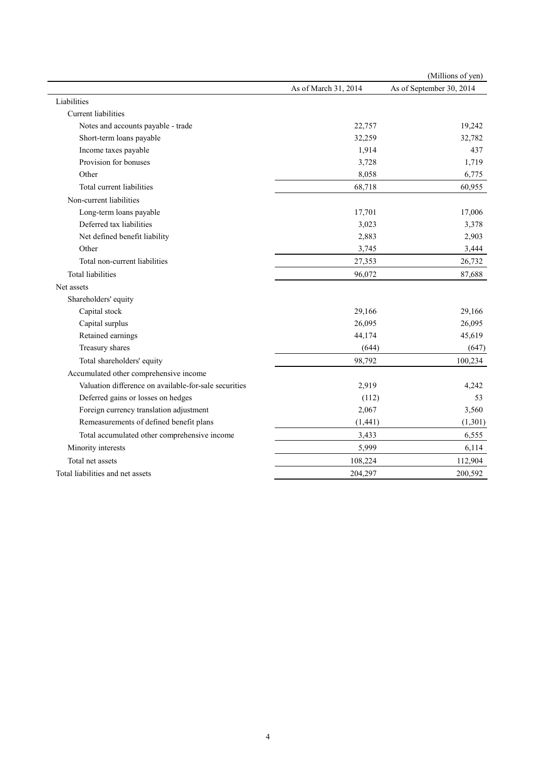|                                                       |                      | (Millions of yen)        |
|-------------------------------------------------------|----------------------|--------------------------|
|                                                       | As of March 31, 2014 | As of September 30, 2014 |
| Liabilities                                           |                      |                          |
| <b>Current liabilities</b>                            |                      |                          |
| Notes and accounts payable - trade                    | 22,757               | 19,242                   |
| Short-term loans payable                              | 32,259               | 32,782                   |
| Income taxes payable                                  | 1,914                | 437                      |
| Provision for bonuses                                 | 3,728                | 1,719                    |
| Other                                                 | 8,058                | 6,775                    |
| Total current liabilities                             | 68,718               | 60,955                   |
| Non-current liabilities                               |                      |                          |
| Long-term loans payable                               | 17,701               | 17,006                   |
| Deferred tax liabilities                              | 3,023                | 3,378                    |
| Net defined benefit liability                         | 2,883                | 2,903                    |
| Other                                                 | 3,745                | 3,444                    |
| Total non-current liabilities                         | 27,353               | 26,732                   |
| <b>Total liabilities</b>                              | 96,072               | 87,688                   |
| Net assets                                            |                      |                          |
| Shareholders' equity                                  |                      |                          |
| Capital stock                                         | 29,166               | 29,166                   |
| Capital surplus                                       | 26,095               | 26,095                   |
| Retained earnings                                     | 44,174               | 45,619                   |
| Treasury shares                                       | (644)                | (647)                    |
| Total shareholders' equity                            | 98,792               | 100,234                  |
| Accumulated other comprehensive income                |                      |                          |
| Valuation difference on available-for-sale securities | 2,919                | 4,242                    |
| Deferred gains or losses on hedges                    | (112)                | 53                       |
| Foreign currency translation adjustment               | 2,067                | 3,560                    |
| Remeasurements of defined benefit plans               | (1, 441)             | (1,301)                  |
| Total accumulated other comprehensive income          | 3,433                | 6,555                    |
| Minority interests                                    | 5,999                | 6,114                    |
| Total net assets                                      | 108,224              | 112,904                  |
| Total liabilities and net assets                      | 204,297              | 200,592                  |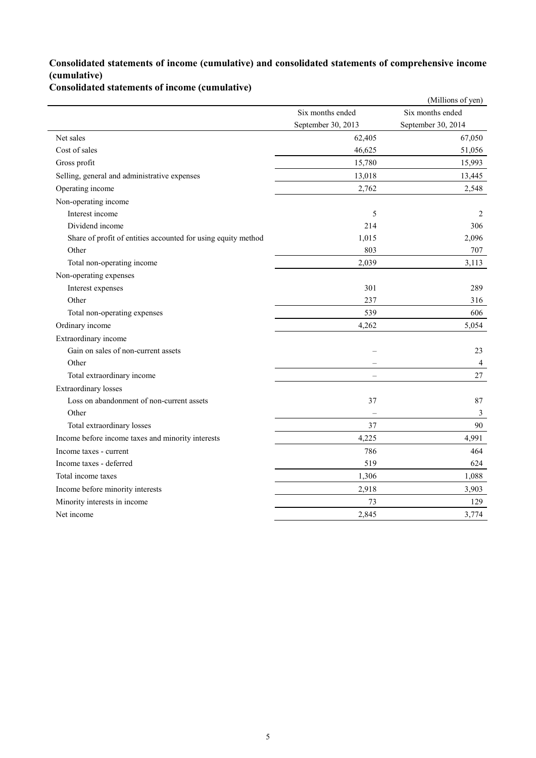### **Consolidated statements of income (cumulative) and consolidated statements of comprehensive income (cumulative)**

**Consolidated statements of income (cumulative)**

|                                                               |                          | (Millions of yen)  |
|---------------------------------------------------------------|--------------------------|--------------------|
|                                                               | Six months ended         | Six months ended   |
|                                                               | September 30, 2013       | September 30, 2014 |
| Net sales                                                     | 62,405                   | 67,050             |
| Cost of sales                                                 | 46,625                   | 51,056             |
| Gross profit                                                  | 15,780                   | 15,993             |
| Selling, general and administrative expenses                  | 13,018                   | 13,445             |
| Operating income                                              | 2,762                    | 2,548              |
| Non-operating income                                          |                          |                    |
| Interest income                                               | 5                        | 2                  |
| Dividend income                                               | 214                      | 306                |
| Share of profit of entities accounted for using equity method | 1,015                    | 2,096              |
| Other                                                         | 803                      | 707                |
| Total non-operating income                                    | 2,039                    | 3,113              |
| Non-operating expenses                                        |                          |                    |
| Interest expenses                                             | 301                      | 289                |
| Other                                                         | 237                      | 316                |
| Total non-operating expenses                                  | 539                      | 606                |
| Ordinary income                                               | 4,262                    | 5,054              |
| Extraordinary income                                          |                          |                    |
| Gain on sales of non-current assets                           |                          | 23                 |
| Other                                                         |                          | $\overline{4}$     |
| Total extraordinary income                                    | $\overline{\phantom{0}}$ | 27                 |
| <b>Extraordinary losses</b>                                   |                          |                    |
| Loss on abandonment of non-current assets                     | 37                       | 87                 |
| Other                                                         | $\overline{\phantom{0}}$ | $\mathfrak{Z}$     |
| Total extraordinary losses                                    | 37                       | 90                 |
| Income before income taxes and minority interests             | 4,225                    | 4,991              |
| Income taxes - current                                        | 786                      | 464                |
| Income taxes - deferred                                       | 519                      | 624                |
| Total income taxes                                            | 1,306                    | 1,088              |
| Income before minority interests                              | 2,918                    | 3,903              |
| Minority interests in income                                  | 73                       | 129                |
| Net income                                                    | 2,845                    | 3,774              |
|                                                               |                          |                    |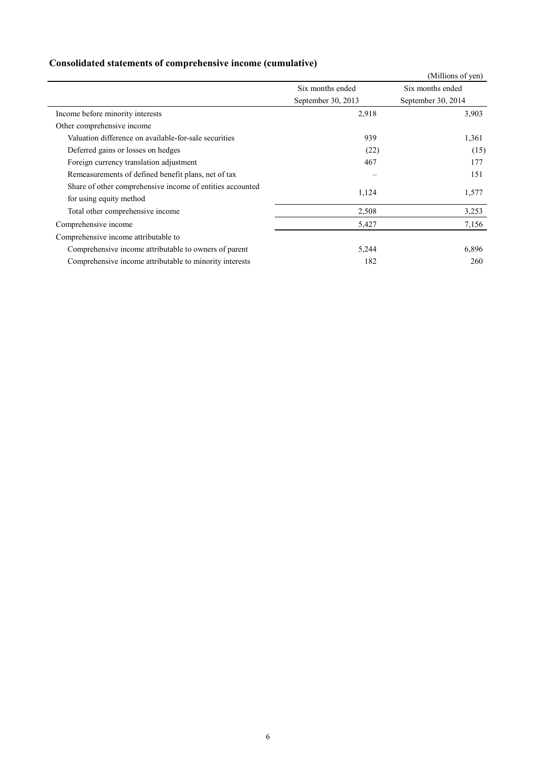## **Consolidated statements of comprehensive income (cumulative)**

|                                                           |                    | (Millions of yen)  |
|-----------------------------------------------------------|--------------------|--------------------|
|                                                           | Six months ended   | Six months ended   |
|                                                           | September 30, 2013 | September 30, 2014 |
| Income before minority interests                          | 2,918              | 3,903              |
| Other comprehensive income                                |                    |                    |
| Valuation difference on available-for-sale securities     | 939                | 1,361              |
| Deferred gains or losses on hedges                        | (22)               | (15)               |
| Foreign currency translation adjustment                   | 467                | 177                |
| Remeasurements of defined benefit plans, net of tax       |                    | 151                |
| Share of other comprehensive income of entities accounted |                    |                    |
| for using equity method                                   | 1,124              | 1,577              |
| Total other comprehensive income                          | 2,508              | 3,253              |
| Comprehensive income                                      | 5,427              | 7,156              |
| Comprehensive income attributable to                      |                    |                    |
| Comprehensive income attributable to owners of parent     | 5,244              | 6,896              |
| Comprehensive income attributable to minority interests   | 182                | 260                |